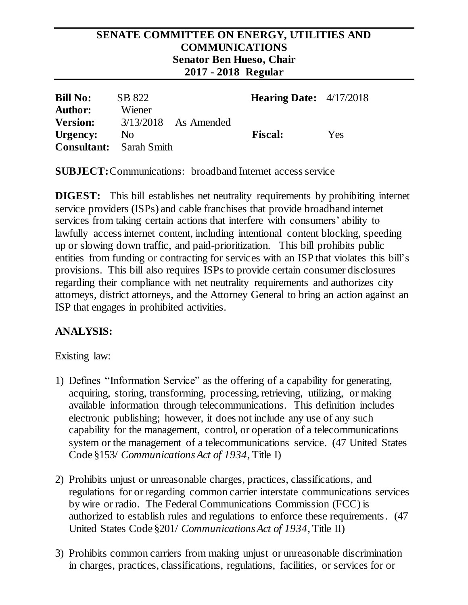#### **SENATE COMMITTEE ON ENERGY, UTILITIES AND COMMUNICATIONS Senator Ben Hueso, Chair 2017 - 2018 Regular**

| <b>Bill No:</b><br><b>Author:</b>          | SB 822<br>Wiener |                        | <b>Hearing Date:</b> $4/17/2018$ |            |
|--------------------------------------------|------------------|------------------------|----------------------------------|------------|
| <b>Version:</b>                            |                  | $3/13/2018$ As Amended |                                  |            |
| Urgency:<br><b>Consultant:</b> Sarah Smith | N <sub>0</sub>   |                        | <b>Fiscal:</b>                   | <b>Yes</b> |

**SUBJECT:**Communications: broadband Internet access service

**DIGEST:** This bill establishes net neutrality requirements by prohibiting internet service providers (ISPs) and cable franchises that provide broadband internet services from taking certain actions that interfere with consumers' ability to lawfully access internet content, including intentional content blocking, speeding up or slowing down traffic, and paid-prioritization. This bill prohibits public entities from funding or contracting for services with an ISP that violates this bill's provisions. This bill also requires ISPs to provide certain consumer disclosures regarding their compliance with net neutrality requirements and authorizes city attorneys, district attorneys, and the Attorney General to bring an action against an ISP that engages in prohibited activities.

## **ANALYSIS:**

Existing law:

- 1) Defines "Information Service" as the offering of a capability for generating, acquiring, storing, transforming, processing, retrieving, utilizing, or making available information through telecommunications. This definition includes electronic publishing; however, it does not include any use of any such capability for the management, control, or operation of a telecommunications system or the management of a telecommunications service. (47 United States Code §153/ *Communications Act of 1934*, Title I)
- 2) Prohibits unjust or unreasonable charges, practices, classifications, and regulations for or regarding common carrier interstate communications services by wire or radio. The Federal Communications Commission (FCC) is authorized to establish rules and regulations to enforce these requirements. (47 United States Code §201/ *Communications Act of 1934*, Title II)
- 3) Prohibits common carriers from making unjust or unreasonable discrimination in charges, practices, classifications, regulations, facilities, or services for or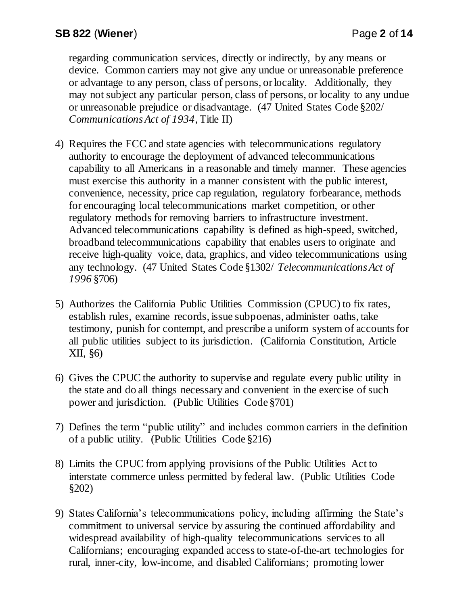regarding communication services, directly or indirectly, by any means or device. Common carriers may not give any undue or unreasonable preference or advantage to any person, class of persons, or locality. Additionally, they may not subject any particular person, class of persons, or locality to any undue or unreasonable prejudice or disadvantage. (47 United States Code §202/ *Communications Act of 1934*, Title II)

- 4) Requires the FCC and state agencies with telecommunications regulatory authority to encourage the deployment of advanced telecommunications capability to all Americans in a reasonable and timely manner. These agencies must exercise this authority in a manner consistent with the public interest, convenience, necessity, price cap regulation, regulatory forbearance, methods for encouraging local telecommunications market competition, or other regulatory methods for removing barriers to infrastructure investment. Advanced telecommunications capability is defined as high-speed, switched, broadband telecommunications capability that enables users to originate and receive high-quality voice, data, graphics, and video telecommunications using any technology. (47 United States Code §1302/ *Telecommunications Act of 1996* §706)
- 5) Authorizes the California Public Utilities Commission (CPUC) to fix rates, establish rules, examine records, issue subpoenas, administer oaths, take testimony, punish for contempt, and prescribe a uniform system of accounts for all public utilities subject to its jurisdiction. (California Constitution, Article XII, §6)
- 6) Gives the CPUC the authority to supervise and regulate every public utility in the state and do all things necessary and convenient in the exercise of such power and jurisdiction. (Public Utilities Code §701)
- 7) Defines the term "public utility" and includes common carriers in the definition of a public utility. (Public Utilities Code §216)
- 8) Limits the CPUC from applying provisions of the Public Utilities Act to interstate commerce unless permitted by federal law. (Public Utilities Code §202)
- 9) States California's telecommunications policy, including affirming the State's commitment to universal service by assuring the continued affordability and widespread availability of high-quality telecommunications services to all Californians; encouraging expanded access to state-of-the-art technologies for rural, inner-city, low-income, and disabled Californians; promoting lower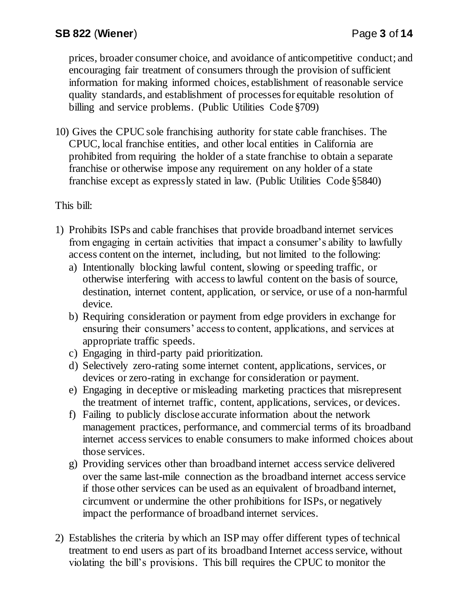prices, broader consumer choice, and avoidance of anticompetitive conduct; and encouraging fair treatment of consumers through the provision of sufficient information for making informed choices, establishment of reasonable service quality standards, and establishment of processes for equitable resolution of billing and service problems. (Public Utilities Code §709)

10) Gives the CPUC sole franchising authority for state cable franchises. The CPUC, local franchise entities, and other local entities in California are prohibited from requiring the holder of a state franchise to obtain a separate franchise or otherwise impose any requirement on any holder of a state franchise except as expressly stated in law. (Public Utilities Code §5840)

This bill:

- 1) Prohibits ISPs and cable franchises that provide broadband internet services from engaging in certain activities that impact a consumer's ability to lawfully access content on the internet, including, but not limited to the following:
	- a) Intentionally blocking lawful content, slowing or speeding traffic, or otherwise interfering with access to lawful content on the basis of source, destination, internet content, application, or service, or use of a non-harmful device.
	- b) Requiring consideration or payment from edge providers in exchange for ensuring their consumers' access to content, applications, and services at appropriate traffic speeds.
	- c) Engaging in third-party paid prioritization.
	- d) Selectively zero-rating some internet content, applications, services, or devices or zero-rating in exchange for consideration or payment.
	- e) Engaging in deceptive or misleading marketing practices that misrepresent the treatment of internet traffic, content, applications, services, or devices.
	- f) Failing to publicly disclose accurate information about the network management practices, performance, and commercial terms of its broadband internet access services to enable consumers to make informed choices about those services.
	- g) Providing services other than broadband internet access service delivered over the same last-mile connection as the broadband internet access service if those other services can be used as an equivalent of broadband internet, circumvent or undermine the other prohibitions for ISPs, or negatively impact the performance of broadband internet services.
- 2) Establishes the criteria by which an ISP may offer different types of technical treatment to end users as part of its broadband Internet access service, without violating the bill's provisions. This bill requires the CPUC to monitor the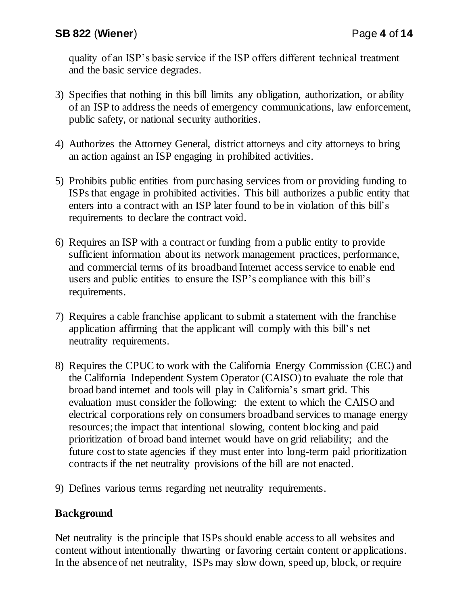quality of an ISP's basic service if the ISP offers different technical treatment and the basic service degrades.

- 3) Specifies that nothing in this bill limits any obligation, authorization, or ability of an ISP to address the needs of emergency communications, law enforcement, public safety, or national security authorities.
- 4) Authorizes the Attorney General, district attorneys and city attorneys to bring an action against an ISP engaging in prohibited activities.
- 5) Prohibits public entities from purchasing services from or providing funding to ISPs that engage in prohibited activities. This bill authorizes a public entity that enters into a contract with an ISP later found to be in violation of this bill's requirements to declare the contract void.
- 6) Requires an ISP with a contract or funding from a public entity to provide sufficient information about its network management practices, performance, and commercial terms of its broadband Internet access service to enable end users and public entities to ensure the ISP's compliance with this bill's requirements.
- 7) Requires a cable franchise applicant to submit a statement with the franchise application affirming that the applicant will comply with this bill's net neutrality requirements.
- 8) Requires the CPUC to work with the California Energy Commission (CEC) and the California Independent System Operator (CAISO) to evaluate the role that broad band internet and tools will play in California's smart grid. This evaluation must consider the following: the extent to which the CAISO and electrical corporations rely on consumers broadband services to manage energy resources; the impact that intentional slowing, content blocking and paid prioritization of broad band internet would have on grid reliability; and the future cost to state agencies if they must enter into long-term paid prioritization contracts if the net neutrality provisions of the bill are not enacted.
- 9) Defines various terms regarding net neutrality requirements.

# **Background**

Net neutrality is the principle that ISPs should enable access to all websites and content without intentionally thwarting or favoring certain content or applications. In the absence of net neutrality, ISPs may slow down, speed up, block, or require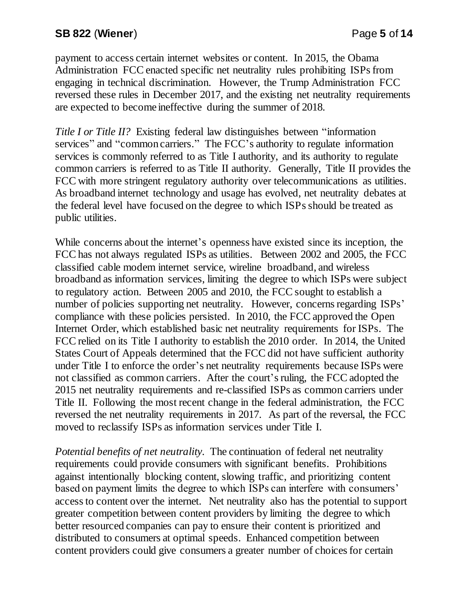payment to access certain internet websites or content. In 2015, the Obama Administration FCC enacted specific net neutrality rules prohibiting ISPs from engaging in technical discrimination. However, the Trump Administration FCC reversed these rules in December 2017, and the existing net neutrality requirements are expected to become ineffective during the summer of 2018.

*Title I or Title II?* Existing federal law distinguishes between "information" services" and "common carriers." The FCC's authority to regulate information services is commonly referred to as Title I authority, and its authority to regulate common carriers is referred to as Title II authority. Generally, Title II provides the FCC with more stringent regulatory authority over telecommunications as utilities. As broadband internet technology and usage has evolved, net neutrality debates at the federal level have focused on the degree to which ISPs should be treated as public utilities.

While concerns about the internet's openness have existed since its inception, the FCC has not always regulated ISPs as utilities. Between 2002 and 2005, the FCC classified cable modem internet service, wireline broadband, and wireless broadband as information services, limiting the degree to which ISPs were subject to regulatory action. Between 2005 and 2010, the FCC sought to establish a number of policies supporting net neutrality. However, concerns regarding ISPs' compliance with these policies persisted. In 2010, the FCC approved the Open Internet Order, which established basic net neutrality requirements for ISPs. The FCC relied on its Title I authority to establish the 2010 order. In 2014, the United States Court of Appeals determined that the FCC did not have sufficient authority under Title I to enforce the order's net neutrality requirements because ISPs were not classified as common carriers. After the court's ruling, the FCC adopted the 2015 net neutrality requirements and re-classified ISPs as common carriers under Title II. Following the most recent change in the federal administration, the FCC reversed the net neutrality requirements in 2017. As part of the reversal, the FCC moved to reclassify ISPs as information services under Title I.

*Potential benefits of net neutrality*. The continuation of federal net neutrality requirements could provide consumers with significant benefits. Prohibitions against intentionally blocking content, slowing traffic, and prioritizing content based on payment limits the degree to which ISPs can interfere with consumers' access to content over the internet. Net neutrality also has the potential to support greater competition between content providers by limiting the degree to which better resourced companies can pay to ensure their content is prioritized and distributed to consumers at optimal speeds. Enhanced competition between content providers could give consumers a greater number of choices for certain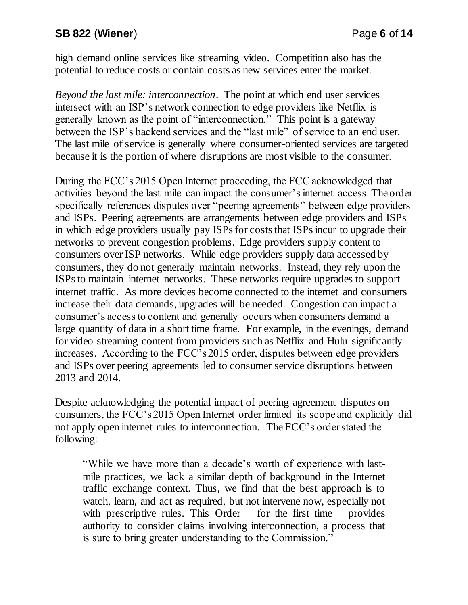# **SB 822** (**Wiener**) Page **6** of **14**

high demand online services like streaming video. Competition also has the potential to reduce costs or contain costs as new services enter the market.

*Beyond the last mile: interconnection*. The point at which end user services intersect with an ISP's network connection to edge providers like Netflix is generally known as the point of "interconnection." This point is a gateway between the ISP's backend services and the "last mile" of service to an end user. The last mile of service is generally where consumer-oriented services are targeted because it is the portion of where disruptions are most visible to the consumer.

During the FCC's 2015 Open Internet proceeding, the FCC acknowledged that activities beyond the last mile can impact the consumer's internet access. The order specifically references disputes over "peering agreements" between edge providers and ISPs. Peering agreements are arrangements between edge providers and ISPs in which edge providers usually pay ISPs for costs that ISPs incur to upgrade their networks to prevent congestion problems. Edge providers supply content to consumers over ISP networks. While edge providers supply data accessed by consumers, they do not generally maintain networks. Instead, they rely upon the ISPs to maintain internet networks. These networks require upgrades to support internet traffic. As more devices become connected to the internet and consumers increase their data demands, upgrades will be needed. Congestion can impact a consumer's access to content and generally occurs when consumers demand a large quantity of data in a short time frame. For example, in the evenings, demand for video streaming content from providers such as Netflix and Hulu significantly increases. According to the FCC's 2015 order, disputes between edge providers and ISPs over peering agreements led to consumer service disruptions between 2013 and 2014.

Despite acknowledging the potential impact of peering agreement disputes on consumers, the FCC's 2015 Open Internet order limited its scope and explicitly did not apply open internet rules to interconnection. The FCC's order stated the following:

"While we have more than a decade's worth of experience with lastmile practices, we lack a similar depth of background in the Internet traffic exchange context. Thus, we find that the best approach is to watch, learn, and act as required, but not intervene now, especially not with prescriptive rules. This Order  $-$  for the first time  $-$  provides authority to consider claims involving interconnection, a process that is sure to bring greater understanding to the Commission."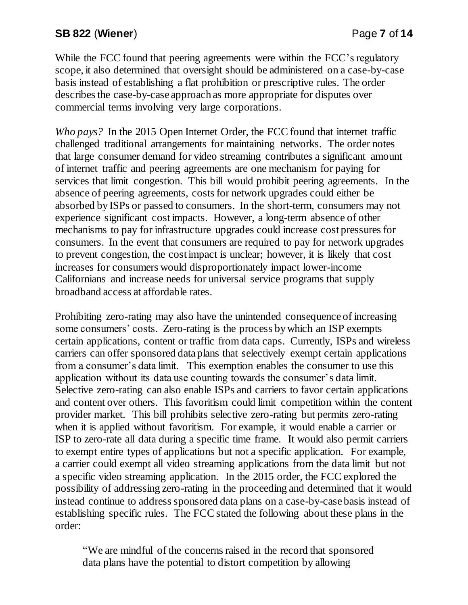While the FCC found that peering agreements were within the FCC's regulatory scope, it also determined that oversight should be administered on a case-by-case basis instead of establishing a flat prohibition or prescriptive rules. The order describes the case-by-case approach as more appropriate for disputes over commercial terms involving very large corporations.

*Who pays?* In the 2015 Open Internet Order, the FCC found that internet traffic challenged traditional arrangements for maintaining networks. The order notes that large consumer demand for video streaming contributes a significant amount of internet traffic and peering agreements are one mechanism for paying for services that limit congestion. This bill would prohibit peering agreements. In the absence of peering agreements, costs for network upgrades could either be absorbed by ISPs or passed to consumers. In the short-term, consumers may not experience significant cost impacts. However, a long-term absence of other mechanisms to pay for infrastructure upgrades could increase cost pressures for consumers. In the event that consumers are required to pay for network upgrades to prevent congestion, the cost impact is unclear; however, it is likely that cost increases for consumers would disproportionately impact lower-income Californians and increase needs for universal service programs that supply broadband access at affordable rates.

Prohibiting zero-rating may also have the unintended consequence of increasing some consumers' costs. Zero-rating is the process by which an ISP exempts certain applications, content or traffic from data caps. Currently, ISPs and wireless carriers can offer sponsored data plans that selectively exempt certain applications from a consumer's data limit. This exemption enables the consumer to use this application without its data use counting towards the consumer's data limit. Selective zero-rating can also enable ISPs and carriers to favor certain applications and content over others. This favoritism could limit competition within the content provider market. This bill prohibits selective zero-rating but permits zero-rating when it is applied without favoritism. For example, it would enable a carrier or ISP to zero-rate all data during a specific time frame. It would also permit carriers to exempt entire types of applications but not a specific application. For example, a carrier could exempt all video streaming applications from the data limit but not a specific video streaming application. In the 2015 order, the FCC explored the possibility of addressing zero-rating in the proceeding and determined that it would instead continue to address sponsored data plans on a case-by-case basis instead of establishing specific rules. The FCC stated the following about these plans in the order:

"We are mindful of the concerns raised in the record that sponsored data plans have the potential to distort competition by allowing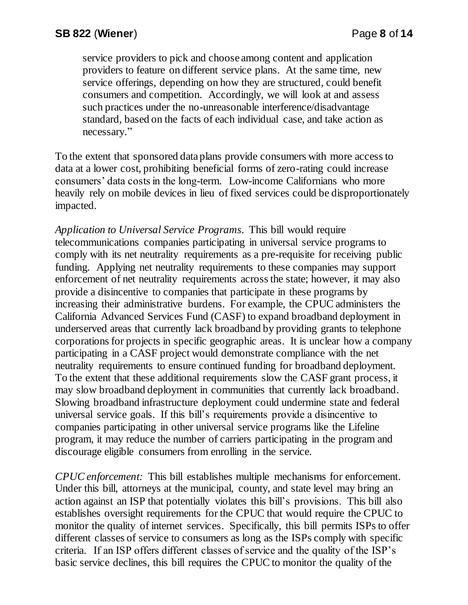service providers to pick and choose among content and application providers to feature on different service plans. At the same time, new service offerings, depending on how they are structured, could benefit consumers and competition. Accordingly, we will look at and assess such practices under the no-unreasonable interference/disadvantage standard, based on the facts of each individual case, and take action as necessary."

To the extent that sponsored data plans provide consumers with more access to data at a lower cost, prohibiting beneficial forms of zero-rating could increase consumers' data costs in the long-term. Low-income Californians who more heavily rely on mobile devices in lieu of fixed services could be disproportionately impacted.

*Application to Universal Service Programs*. This bill would require telecommunications companies participating in universal service programs to comply with its net neutrality requirements as a pre-requisite for receiving public funding. Applying net neutrality requirements to these companies may support enforcement of net neutrality requirements across the state; however, it may also provide a disincentive to companies that participate in these programs by increasing their administrative burdens. For example, the CPUC administers the California Advanced Services Fund (CASF) to expand broadband deployment in underserved areas that currently lack broadband by providing grants to telephone corporations for projects in specific geographic areas. It is unclear how a company participating in a CASF project would demonstrate compliance with the net neutrality requirements to ensure continued funding for broadband deployment. To the extent that these additional requirements slow the CASF grant process, it may slow broadband deployment in communities that currently lack broadband. Slowing broadband infrastructure deployment could undermine state and federal universal service goals. If this bill's requirements provide a disincentive to companies participating in other universal service programs like the Lifeline program, it may reduce the number of carriers participating in the program and discourage eligible consumers from enrolling in the service.

*CPUC enforcement:* This bill establishes multiple mechanisms for enforcement. Under this bill, attorneys at the municipal, county, and state level may bring an action against an ISP that potentially violates this bill's provisions. This bill also establishes oversight requirements for the CPUC that would require the CPUC to monitor the quality of internet services. Specifically, this bill permits ISPs to offer different classes of service to consumers as long as the ISPs comply with specific criteria. If an ISP offers different classes of service and the quality of the ISP's basic service declines, this bill requires the CPUC to monitor the quality of the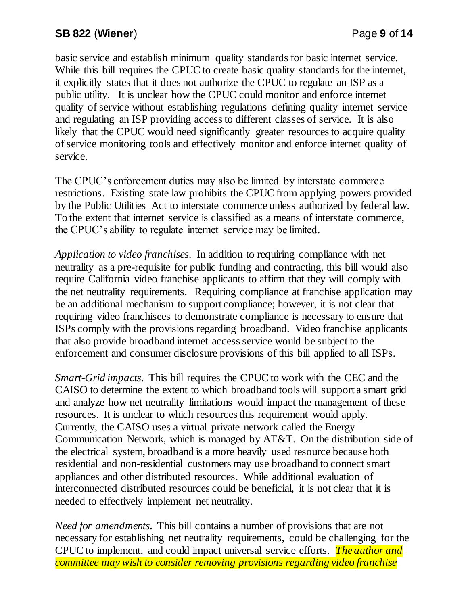# **SB 822** (**Wiener**) Page **9** of **14**

basic service and establish minimum quality standards for basic internet service. While this bill requires the CPUC to create basic quality standards for the internet, it explicitly states that it does not authorize the CPUC to regulate an ISP as a public utility. It is unclear how the CPUC could monitor and enforce internet quality of service without establishing regulations defining quality internet service and regulating an ISP providing access to different classes of service. It is also likely that the CPUC would need significantly greater resources to acquire quality of service monitoring tools and effectively monitor and enforce internet quality of service.

The CPUC's enforcement duties may also be limited by interstate commerce restrictions. Existing state law prohibits the CPUC from applying powers provided by the Public Utilities Act to interstate commerce unless authorized by federal law. To the extent that internet service is classified as a means of interstate commerce, the CPUC's ability to regulate internet service may be limited.

*Application to video franchises*. In addition to requiring compliance with net neutrality as a pre-requisite for public funding and contracting, this bill would also require California video franchise applicants to affirm that they will comply with the net neutrality requirements. Requiring compliance at franchise application may be an additional mechanism to support compliance; however, it is not clear that requiring video franchisees to demonstrate compliance is necessary to ensure that ISPs comply with the provisions regarding broadband. Video franchise applicants that also provide broadband internet access service would be subject to the enforcement and consumer disclosure provisions of this bill applied to all ISPs.

*Smart-Grid impacts*. This bill requires the CPUC to work with the CEC and the CAISO to determine the extent to which broadband tools will support a smart grid and analyze how net neutrality limitations would impact the management of these resources. It is unclear to which resources this requirement would apply. Currently, the CAISO uses a virtual private network called the Energy Communication Network, which is managed by AT&T. On the distribution side of the electrical system, broadband is a more heavily used resource because both residential and non-residential customers may use broadband to connect smart appliances and other distributed resources. While additional evaluation of interconnected distributed resources could be beneficial, it is not clear that it is needed to effectively implement net neutrality.

*Need for amendments*. This bill contains a number of provisions that are not necessary for establishing net neutrality requirements, could be challenging for the CPUC to implement, and could impact universal service efforts. *The author and committee may wish to consider removing provisions regarding video franchise*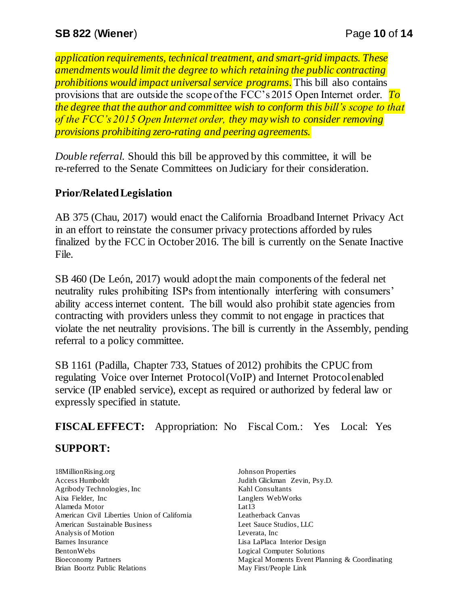*application requirements, technical treatment, and smart-grid impacts. These amendments would limit the degree to which retaining the public contracting prohibitions would impact universal service programs.* This bill also contains provisions that are outside the scope of the FCC's 2015 Open Internet order. *To the degree that the author and committee wish to conform this bill's scope to that of the FCC's 2015 Open Internet order, they may wish to consider removing provisions prohibiting zero-rating and peering agreements.*

*Double referral.* Should this bill be approved by this committee, it will be re-referred to the Senate Committees on Judiciary for their consideration.

## **Prior/Related Legislation**

AB 375 (Chau, 2017) would enact the California Broadband Internet Privacy Act in an effort to reinstate the consumer privacy protections afforded by rules finalized by the FCC in October 2016. The bill is currently on the Senate Inactive File.

SB 460 (De León, 2017) would adopt the main components of the federal net neutrality rules prohibiting ISPs from intentionally interfering with consumers' ability access internet content. The bill would also prohibit state agencies from contracting with providers unless they commit to not engage in practices that violate the net neutrality provisions. The bill is currently in the Assembly, pending referral to a policy committee.

SB 1161 (Padilla, Chapter 733, Statues of 2012) prohibits the CPUC from regulating Voice over Internet Protocol (VoIP) and Internet Protocol enabled service (IP enabled service), except as required or authorized by federal law or expressly specified in statute.

**FISCAL EFFECT:** Appropriation: No Fiscal Com.: Yes Local: Yes

## **SUPPORT:**

18MillionRising.org Access Humboldt Agribody Technologies, Inc Aixa Fielder, Inc Alameda Motor American Civil Liberties Union of California American Sustainable Business Analysis of Motion Barnes Insurance BentonWebs Bioeconomy Partners Brian Boortz Public Relations

Johnson Properties Judith Glickman Zevin, Psy.D. Kahl Consultants Langlers WebWorks Lat13 Leatherback Canvas Leet Sauce Studios, LLC Leverata, Inc Lisa LaPlaca Interior Design Logical Computer Solutions Magical Moments Event Planning & Coordinating May First/People Link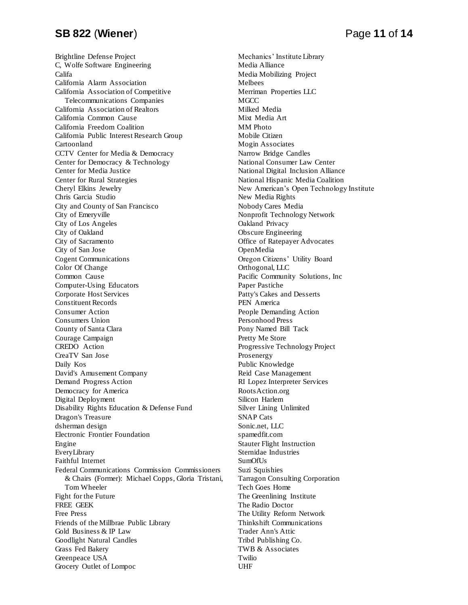#### **SB 822** (**Wiener**) Page **11** of **14**

Brightline Defense Project C, Wolfe Software Engineering Califa California Alarm Association California Association of Competitive Telecommunications Companies California Association of Realtors California Common Cause California Freedom Coalition California Public Interest Research Group Cartoonland CCTV Center for Media & Democracy Center for Democracy & Technology Center for Media Justice Center for Rural Strategies Cheryl Elkins Jewelry Chris Garcia Studio City and County of San Francisco City of Emeryville City of Los Angeles City of Oakland City of Sacramento City of San Jose Cogent Communications Color Of Change Common Cause Computer-Using Educators Corporate Host Services Constituent Records Consumer Action Consumers Union County of Santa Clara Courage Campaign CREDO Action CreaTV San Jose Daily Kos David's Amusement Company Demand Progress Action Democracy for America Digital Deployment Disability Rights Education & Defense Fund Dragon's Treasure dsherman design Electronic Frontier Foundation Engine EveryLibrary Faithful Internet Federal Communications Commission Commissioners & Chairs (Former): Michael Copps, Gloria Tristani, Tom Wheeler Fight for the Future FREE GEEK Free Press Friends of the Millbrae Public Library Gold Business & IP Law Goodlight Natural Candles Grass Fed Bakery Greenpeace USA Grocery Outlet of Lompoc

Mechanics' Institute Library Media Alliance Media Mobilizing Project Melbees Merriman Properties LLC **MGCC** Milked Media Mixt Media Art MM Photo Mobile Citizen Mogin Associates Narrow Bridge Candles National Consumer Law Center National Digital Inclusion Alliance National Hispanic Media Coalition New American's Open Technology Institute New Media Rights Nobody Cares Media Nonprofit Technology Network Oakland Privacy Obscure Engineering Office of Ratepayer Advocates OpenMedia Oregon Citizens' Utility Board Orthogonal, LLC Pacific Community Solutions, Inc Paper Pastiche Patty's Cakes and Desserts PEN America People Demanding Action Personhood Press Pony Named Bill Tack Pretty Me Store Progressive Technology Project Prosenergy Public Knowledge Reid Case Management RI Lopez Interpreter Services RootsAction.org Silicon Harlem Silver Lining Unlimited SNAP Cats Sonic.net, LLC spamedfit.com Stauter Flight Instruction Sternidae Industries SumOfUs Suzi Squishies Tarragon Consulting Corporation Tech Goes Home The Greenlining Institute The Radio Doctor The Utility Reform Network Thinkshift Communications Trader Ann's Attic Tribd Publishing Co. TWB & Associates Twilio UHF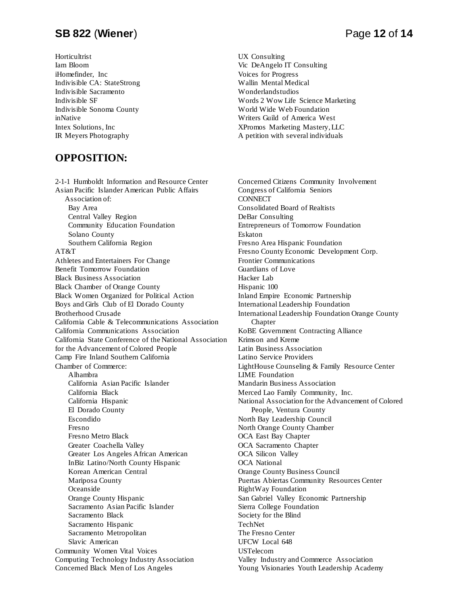#### **SB 822** (**Wiener**) Page **12** of **14**

**Horticultrist** Iam Bloom iHomefinder, Inc Indivisible CA: StateStrong Indivisible Sacramento Indivisible SF Indivisible Sonoma County inNative Intex Solutions, Inc IR Meyers Photography

#### **OPPOSITION:**

2-1-1 Humboldt Information and Resource Center Asian Pacific Islander American Public Affairs Association of: Bay Area Central Valley Region Community Education Foundation Solano County Southern California Region AT&T Athletes and Entertainers For Change Benefit Tomorrow Foundation Black Business Association Black Chamber of Orange County Black Women Organized for Political Action Boys and Girls Club of El Dorado County Brotherhood Crusade California Cable & Telecommunications Association California Communications Association California State Conference of the National Association for the Advancement of Colored People Camp Fire Inland Southern California Chamber of Commerce: Alhambra California Asian Pacific Islander California Black California Hispanic El Dorado County Escondido Fresno Fresno Metro Black Greater Coachella Valley Greater Los Angeles African American InBiz Latino/North County Hispanic Korean American Central Mariposa County Oceanside Orange County Hispanic Sacramento Asian Pacific Islander Sacramento Black Sacramento Hispanic Sacramento Metropolitan Slavic American Community Women Vital Voices Computing Technology Industry Association Concerned Black Men of Los Angeles

UX Consulting Vic DeAngelo IT Consulting Voices for Progress Wallin Mental Medical Wonderlandstudios Words 2 Wow Life Science Marketing World Wide Web Foundation Writers Guild of America West XPromos Marketing Mastery, LLC A petition with several individuals

Concerned Citizens Community Involvement Congress of California Seniors **CONNECT** Consolidated Board of Realtists DeBar Consulting Entrepreneurs of Tomorrow Foundation Eskaton Fresno Area Hispanic Foundation Fresno County Economic Development Corp. Frontier Communications Guardians of Love Hacker Lab Hispanic 100 Inland Empire Economic Partnership International Leadership Foundation International Leadership Foundation Orange County Chapter KoBE Government Contracting Alliance Krimson and Kreme Latin Business Association Latino Service Providers LightHouse Counseling & Family Resource Center LIME Foundation Mandarin Business Association Merced Lao Family Community, Inc. National Association for the Advancement of Colored People, Ventura County North Bay Leadership Council North Orange County Chamber OCA East Bay Chapter OCA Sacramento Chapter OCA Silicon Valley OCA National Orange County Business Council Puertas Abiertas Community Resources Center RightWay Foundation San Gabriel Valley Economic Partnership Sierra College Foundation Society for the Blind TechNet The Fresno Center UFCW Local 648 USTelecom Valley Industry and Commerce Association Young Visionaries Youth Leadership Academy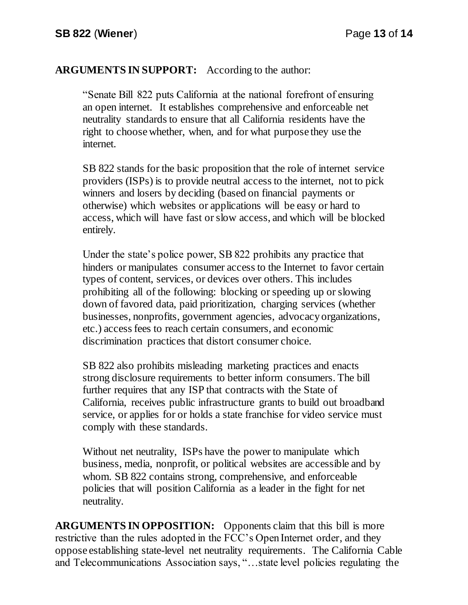## **ARGUMENTS IN SUPPORT:** According to the author:

"Senate Bill 822 puts California at the national forefront of ensuring an open internet. It establishes comprehensive and enforceable net neutrality standards to ensure that all California residents have the right to choose whether, when, and for what purpose they use the internet.

SB 822 stands for the basic proposition that the role of internet service providers (ISPs) is to provide neutral access to the internet, not to pick winners and losers by deciding (based on financial payments or otherwise) which websites or applications will be easy or hard to access, which will have fast or slow access, and which will be blocked entirely.

Under the state's police power, SB 822 prohibits any practice that hinders or manipulates consumer access to the Internet to favor certain types of content, services, or devices over others. This includes prohibiting all of the following: blocking or speeding up or slowing down of favored data, paid prioritization, charging services (whether businesses, nonprofits, government agencies, advocacy organizations, etc.) access fees to reach certain consumers, and economic discrimination practices that distort consumer choice.

SB 822 also prohibits misleading marketing practices and enacts strong disclosure requirements to better inform consumers. The bill further requires that any ISP that contracts with the State of California, receives public infrastructure grants to build out broadband service, or applies for or holds a state franchise for video service must comply with these standards.

Without net neutrality, ISPs have the power to manipulate which business, media, nonprofit, or political websites are accessible and by whom. SB 822 contains strong, comprehensive, and enforceable policies that will position California as a leader in the fight for net neutrality.

**ARGUMENTS IN OPPOSITION:** Opponents claim that this bill is more restrictive than the rules adopted in the FCC's Open Internet order, and they oppose establishing state-level net neutrality requirements. The California Cable and Telecommunications Association says, "…state level policies regulating the